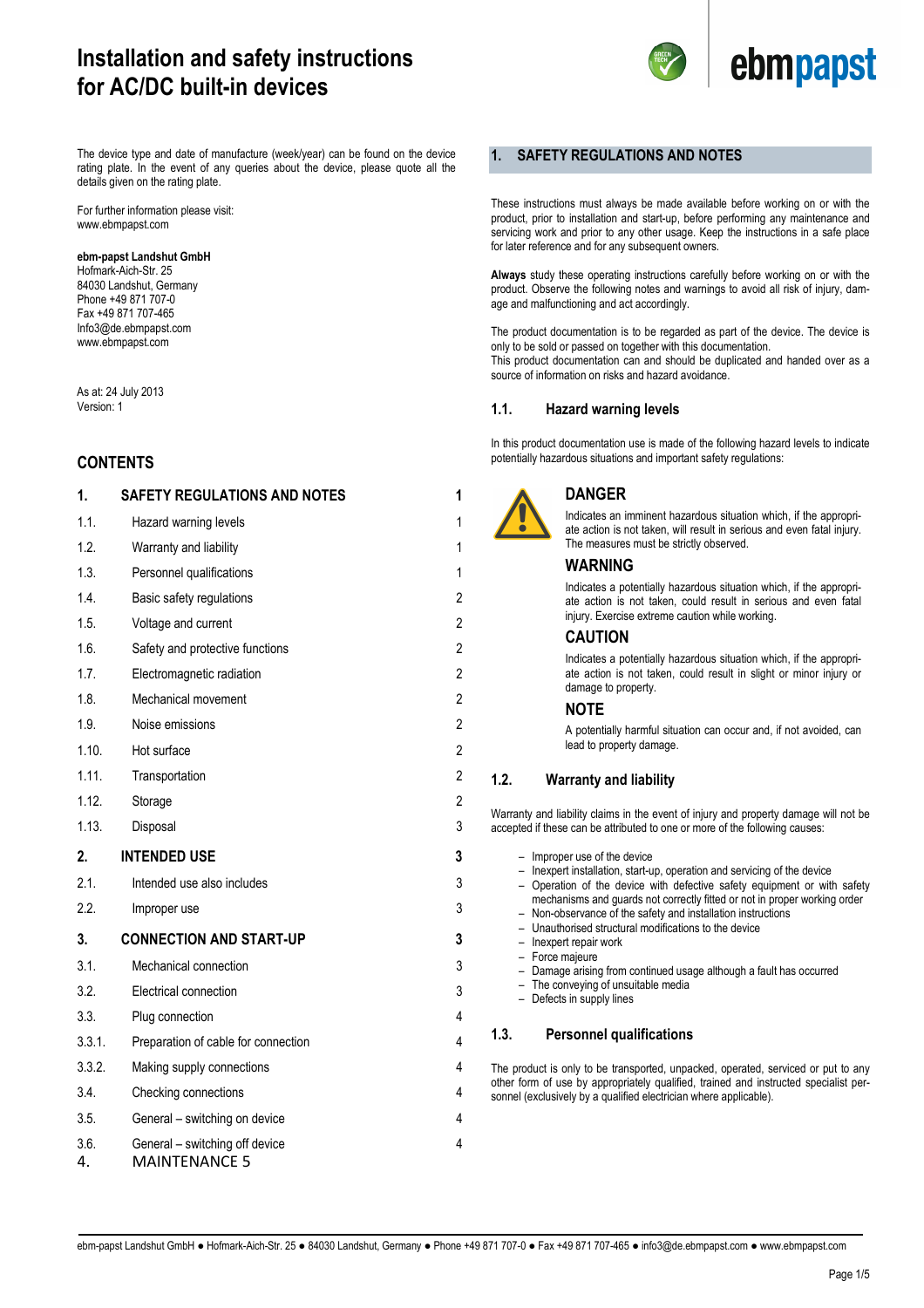

The device type and date of manufacture (week/year) can be found on the device rating plate. In the event of any queries about the device, please quote all the details given on the rating plate.

For further information please visit: www.ebmpapst.com

#### **ebm-papst Landshut GmbH**

Hofmark-Aich-Str. 25 84030 Landshut, Germany Phone +49 871 707-0 Fax +49 871 707-465 Info3@de.ebmpapst.com www.ebmpapst.com

As at: 24 July 2013 Version: 1

## **CONTENTS**

| 1<br>1         |
|----------------|
|                |
|                |
| 1              |
| 2              |
| $\overline{2}$ |
| 2              |
| $\overline{2}$ |
| $\overline{2}$ |
| $\overline{2}$ |
| $\overline{2}$ |
| $\overline{2}$ |
| 2              |
| 3              |
| 3              |
| 3              |
|                |
| 3              |
| 3              |
| 3              |
| 3              |
| 4              |
| 4              |
| 4              |
| 4              |
| 4              |
|                |

#### **1. SAFETY REGULATIONS AND NOTES**

These instructions must always be made available before working on or with the product, prior to installation and start-up, before performing any maintenance and servicing work and prior to any other usage. Keep the instructions in a safe place for later reference and for any subsequent owners.

**Always** study these operating instructions carefully before working on or with the product. Observe the following notes and warnings to avoid all risk of injury, damage and malfunctioning and act accordingly.

The product documentation is to be regarded as part of the device. The device is only to be sold or passed on together with this documentation. This product documentation can and should be duplicated and handed over as a source of information on risks and hazard avoidance.

#### **1.1. Hazard warning levels**

In this product documentation use is made of the following hazard levels to indicate potentially hazardous situations and important safety regulations:



## **DANGER**

Indicates an imminent hazardous situation which, if the appropriate action is not taken, will result in serious and even fatal injury. The measures must be strictly observed.

#### **WARNING**

Indicates a potentially hazardous situation which, if the appropriate action is not taken, could result in serious and even fatal injury. Exercise extreme caution while working.

#### **CAUTION**

Indicates a potentially hazardous situation which, if the appropriate action is not taken, could result in slight or minor injury or damage to property.

#### **NOTE**

A potentially harmful situation can occur and, if not avoided, can lead to property damage.

#### **1.2. Warranty and liability**

Warranty and liability claims in the event of injury and property damage will not be accepted if these can be attributed to one or more of the following causes:

– Improper use of the device – Inexpert installation, start-up, operation and servicing of the device – Operation of the device with defective safety equipment or with safety mechanisms and guards not correctly fitted or not in proper working order – Non-observance of the safety and installation instructions – Unauthorised structural modifications to the device – Inexpert repair work – Force majeure – Damage arising from continued usage although a fault has occurred – The conveying of unsuitable media – Defects in supply lines **1.3. Personnel qualifications**  The product is only to be transported, unpacked, operated, serviced or put to any other form of use by appropriately qualified, trained and instructed specialist personnel (exclusively by a qualified electrician where applicable).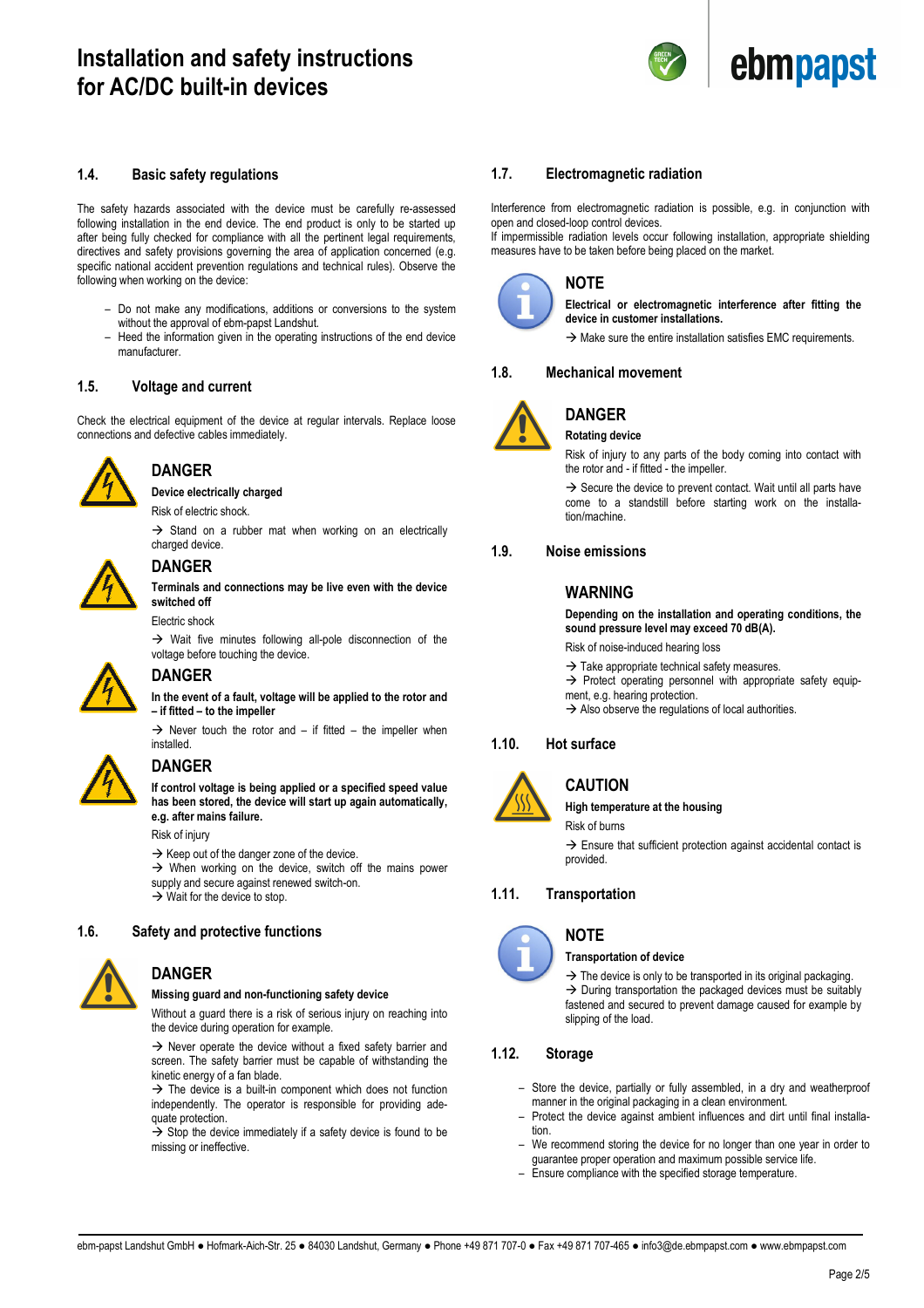

#### **1.4. Basic safety regulations**

The safety hazards associated with the device must be carefully re-assessed following installation in the end device. The end product is only to be started up after being fully checked for compliance with all the pertinent legal requirements, directives and safety provisions governing the area of application concerned (e.g. specific national accident prevention regulations and technical rules). Observe the following when working on the device:

- Do not make any modifications, additions or conversions to the system without the approval of ebm-papst Landshut.
- Heed the information given in the operating instructions of the end device manufacturer.

#### **1.5. Voltage and current**

Check the electrical equipment of the device at regular intervals. Replace loose connections and defective cables immediately.



## **DANGER**

**Device electrically charged**

Risk of electric shock.

 $\rightarrow$  Stand on a rubber mat when working on an electrically charged device.



### **DANGER**

**Terminals and connections may be live even with the device switched off** 

#### Electric shock

 $\rightarrow$  Wait five minutes following all-pole disconnection of the voltage before touching the device.



# **DANGER**

**In the event of a fault, voltage will be applied to the rotor and – if fitted – to the impeller** 

 $\rightarrow$  Never touch the rotor and – if fitted – the impeller when installed.



## **DANGER**

**If control voltage is being applied or a specified speed value has been stored, the device will start up again automatically, e.g. after mains failure.** 

Risk of injury

 $\rightarrow$  Keep out of the danger zone of the device.

 $\rightarrow$  When working on the device, switch off the mains power supply and secure against renewed switch-on.  $\rightarrow$  Wait for the device to stop.

#### **1.6. Safety and protective functions**



### **DANGER**

#### **Missing guard and non-functioning safety device**

Without a guard there is a risk of serious injury on reaching into the device during operation for example.

 $\rightarrow$  Never operate the device without a fixed safety barrier and screen. The safety barrier must be capable of withstanding the kinetic energy of a fan blade.

 $\rightarrow$  The device is a built-in component which does not function independently. The operator is responsible for providing adequate protection.

 $\rightarrow$  Stop the device immediately if a safety device is found to be missing or ineffective.

#### **1.7. Electromagnetic radiation**

Interference from electromagnetic radiation is possible, e.g. in conjunction with open and closed-loop control devices.

If impermissible radiation levels occur following installation, appropriate shielding measures have to be taken before being placed on the market.



## **NOTE**

**Electrical or electromagnetic interference after fitting the device in customer installations.** 

 $\rightarrow$  Make sure the entire installation satisfies EMC requirements.

#### **1.8. Mechanical movement**



## **DANGER**

**Rotating device** 

Risk of injury to any parts of the body coming into contact with the rotor and - if fitted - the impeller.

 $\rightarrow$  Secure the device to prevent contact. Wait until all parts have come to a standstill before starting work on the installation/machine.

#### **1.9. Noise emissions**

#### **WARNING**

**Depending on the installation and operating conditions, the sound pressure level may exceed 70 dB(A).** 

Risk of noise-induced hearing loss

 $\rightarrow$  Take appropriate technical safety measures.

 $\rightarrow$  Protect operating personnel with appropriate safety equipment, e.g. hearing protection.

 $\rightarrow$  Also observe the regulations of local authorities.

## **1.10. Hot surface**



# **CAUTION**

**High temperature at the housing** 

Risk of burns

 $\rightarrow$  Ensure that sufficient protection against accidental contact is provided.

#### **1.11. Transportation**



#### **NOTE**

**Transportation of device** 

 $\rightarrow$  The device is only to be transported in its original packaging.  $\rightarrow$  During transportation the packaged devices must be suitably fastened and secured to prevent damage caused for example by slipping of the load.

### **1.12. Storage**

– Store the device, partially or fully assembled, in a dry and weatherproof manner in the original packaging in a clean environment.

- Protect the device against ambient influences and dirt until final installation.
- We recommend storing the device for no longer than one year in order to guarantee proper operation and maximum possible service life.
- Ensure compliance with the specified storage temperature.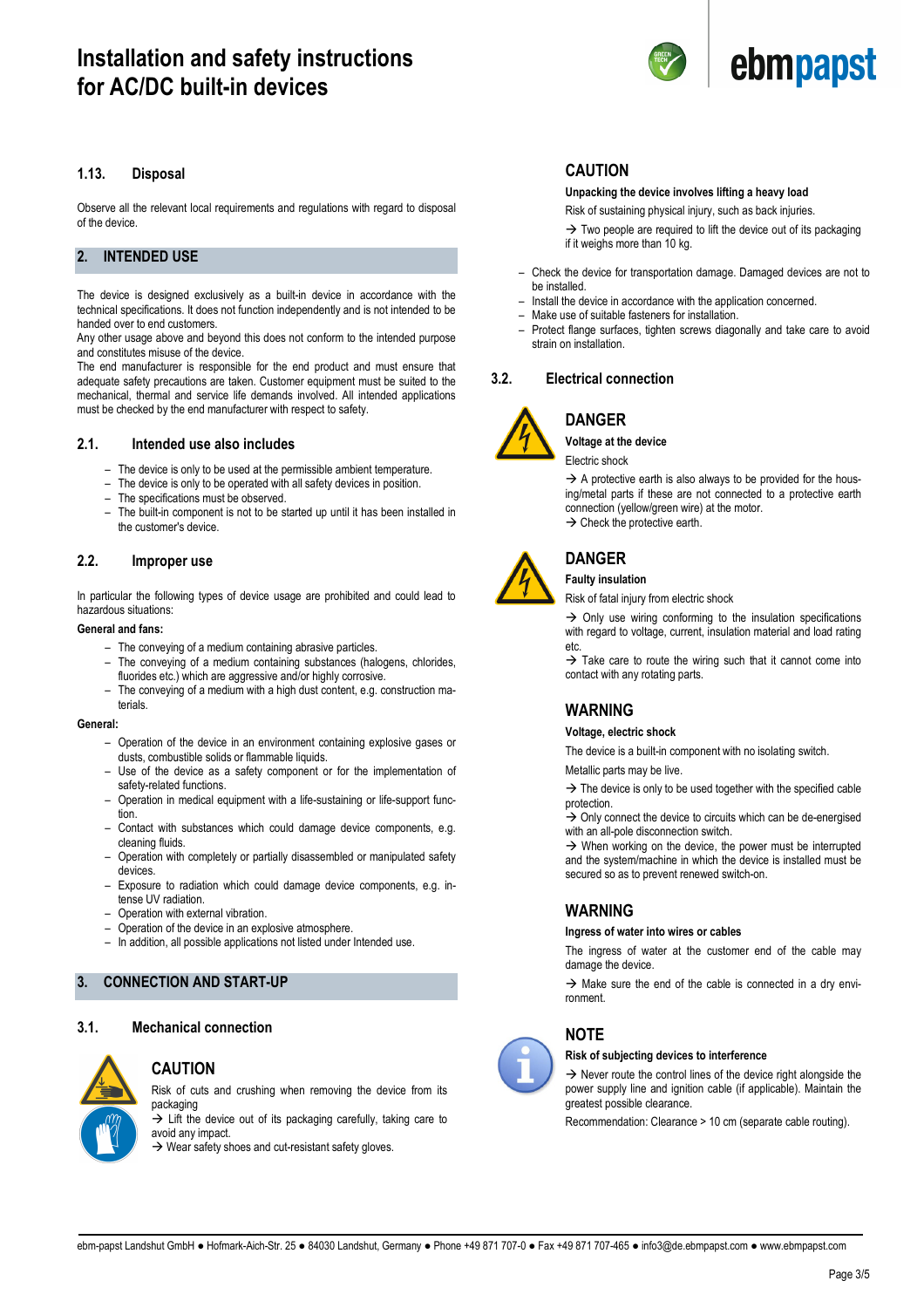

Observe all the relevant local requirements and regulations with regard to disposal of the device.

#### **2. INTENDED USE**

The device is designed exclusively as a built-in device in accordance with the technical specifications. It does not function independently and is not intended to be handed over to end customers.

Any other usage above and beyond this does not conform to the intended purpose and constitutes misuse of the device.

The end manufacturer is responsible for the end product and must ensure that adequate safety precautions are taken. Customer equipment must be suited to the mechanical, thermal and service life demands involved. All intended applications must be checked by the end manufacturer with respect to safety.

#### **2.1. Intended use also includes**

- The device is only to be used at the permissible ambient temperature.
- The device is only to be operated with all safety devices in position.
- The specifications must be observed.
- The built-in component is not to be started up until it has been installed in the customer's device.

#### **2.2. Improper use**

In particular the following types of device usage are prohibited and could lead to hazardous situations:

#### **General and fans:**

- The conveying of a medium containing abrasive particles.
- The conveying of a medium containing substances (halogens, chlorides, fluorides etc.) which are aggressive and/or highly corrosive.
- The conveying of a medium with a high dust content, e.g. construction materials.

#### **General:**

- Operation of the device in an environment containing explosive gases or dusts, combustible solids or flammable liquids.
- Use of the device as a safety component or for the implementation of safety-related functions.
- Operation in medical equipment with a life-sustaining or life-support function.
- Contact with substances which could damage device components, e.g. cleaning fluids.
- Operation with completely or partially disassembled or manipulated safety devices
- Exposure to radiation which could damage device components, e.g. intense UV radiation.
- Operation with external vibration.
- Operation of the device in an explosive atmosphere.
- In addition, all possible applications not listed under Intended use.

### **3. CONNECTION AND START-UP**

#### **3.1. Mechanical connection**



#### **CAUTION**

Risk of cuts and crushing when removing the device from its packaging

 $\rightarrow$  Lift the device out of its packaging carefully, taking care to avoid any impact.

 $\rightarrow$  Wear safety shoes and cut-resistant safety gloves.

#### **CAUTION**

#### **Unpacking the device involves lifting a heavy load**

Risk of sustaining physical injury, such as back injuries.

 $\rightarrow$  Two people are required to lift the device out of its packaging if it weighs more than 10 kg.

- Check the device for transportation damage. Damaged devices are not to be installed.
- Install the device in accordance with the application concerned.
- Make use of suitable fasteners for installation.
- Protect flange surfaces, tighten screws diagonally and take care to avoid strain on installation.

#### **3.2. Electrical connection**



#### **DANGER Voltage at the device**

Electric shock

 $\rightarrow$  A protective earth is also always to be provided for the housing/metal parts if these are not connected to a protective earth connection (yellow/green wire) at the motor.  $\rightarrow$  Check the protective earth.

### **DANGER Faulty insulation**

Risk of fatal injury from electric shock

 $\rightarrow$  Only use wiring conforming to the insulation specifications with regard to voltage, current, insulation material and load rating etc.

 $\rightarrow$  Take care to route the wiring such that it cannot come into contact with any rotating parts.

## **WARNING**

#### **Voltage, electric shock**

The device is a built-in component with no isolating switch.

Metallic parts may be live.

 $\rightarrow$  The device is only to be used together with the specified cable protection.

 $\rightarrow$  Only connect the device to circuits which can be de-energised with an all-pole disconnection switch.

 $\rightarrow$  When working on the device, the power must be interrupted and the system/machine in which the device is installed must be secured so as to prevent renewed switch-on.

#### **WARNING**

#### **Ingress of water into wires or cables**

The ingress of water at the customer end of the cable may damage the device.

 $\rightarrow$  Make sure the end of the cable is connected in a dry environment.

## **NOTE**

#### **Risk of subjecting devices to interference**

 $\rightarrow$  Never route the control lines of the device right alongside the power supply line and ignition cable (if applicable). Maintain the greatest possible clearance.

Recommendation: Clearance > 10 cm (separate cable routing).









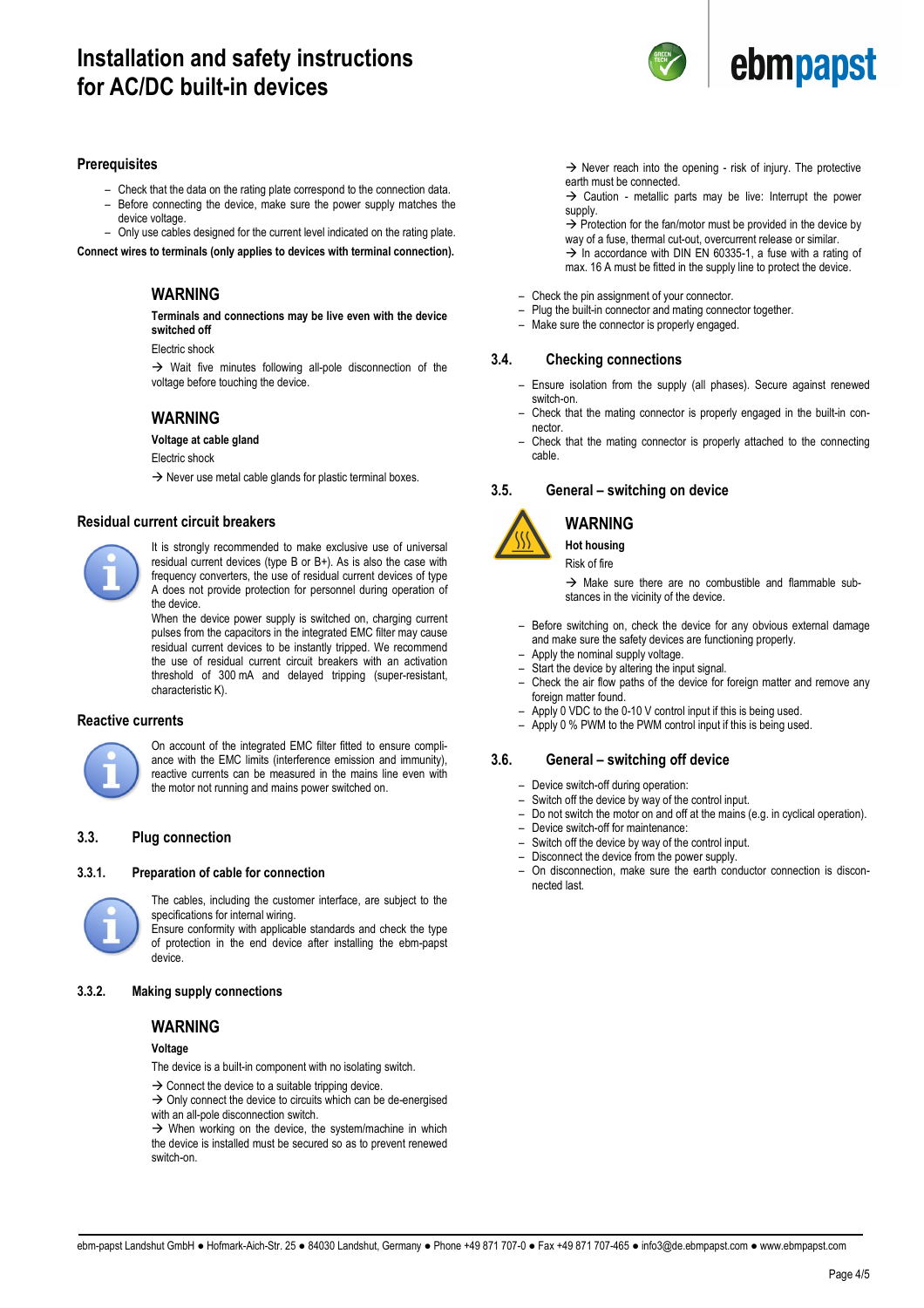

#### **Prerequisites**

- Check that the data on the rating plate correspond to the connection data.
- Before connecting the device, make sure the power supply matches the device voltage.
- 

– Only use cables designed for the current level indicated on the rating plate. **Connect wires to terminals (only applies to devices with terminal connection).** 

### **WARNING**

**Terminals and connections may be live even with the device switched off** 

#### Electric shock

 $\rightarrow$  Wait five minutes following all-pole disconnection of the voltage before touching the device.

#### **WARNING**

**Voltage at cable gland** 

Electric shock

 $\rightarrow$  Never use metal cable glands for plastic terminal boxes.

#### **Residual current circuit breakers**



It is strongly recommended to make exclusive use of universal residual current devices (type B or B+). As is also the case with frequency converters, the use of residual current devices of type A does not provide protection for personnel during operation of the device.

When the device power supply is switched on, charging current pulses from the capacitors in the integrated EMC filter may cause residual current devices to be instantly tripped. We recommend the use of residual current circuit breakers with an activation threshold of 300 mA and delayed tripping (super-resistant, characteristic K).

#### **Reactive currents**



On account of the integrated EMC filter fitted to ensure compliance with the EMC limits (interference emission and immunity), reactive currents can be measured in the mains line even with the motor not running and mains power switched on.

#### **3.3. Plug connection**

#### **3.3.1. Preparation of cable for connection**



The cables, including the customer interface, are subject to the specifications for internal wiring.

Ensure conformity with applicable standards and check the type of protection in the end device after installing the ebm-papst device.

#### **3.3.2. Making supply connections**

#### **WARNING**

#### **Voltage**

The device is a built-in component with no isolating switch.

 $\rightarrow$  Connect the device to a suitable tripping device.  $\rightarrow$  Only connect the device to circuits which can be de-energised

with an all-pole disconnection switch.

 $\rightarrow$  When working on the device, the system/machine in which the device is installed must be secured so as to prevent renewed switch-on.

 $\rightarrow$  Never reach into the opening - risk of injury. The protective earth must be connected.

 $\rightarrow$  Caution - metallic parts may be live: Interrupt the power supply.

 $\rightarrow$  Protection for the fan/motor must be provided in the device by way of a fuse, thermal cut-out, overcurrent release or similar.  $\rightarrow$  In accordance with DIN EN 60335-1, a fuse with a rating of max. 16 A must be fitted in the supply line to protect the device.

- Check the pin assignment of your connector.
- $-$  Plug the built-in connector and mating connector together.<br> $-$  Make sure the connector is properly engaged.
- Make sure the connector is properly engaged.

#### **3.4. Checking connections**

- Ensure isolation from the supply (all phases). Secure against renewed switch-on.
- Check that the mating connector is properly engaged in the built-in connector.
- Check that the mating connector is properly attached to the connecting cable.

#### **3.5. General – switching on device**



# **WARNING**

**Hot housing**  Risk of fire

 $\rightarrow$  Make sure there are no combustible and flammable substances in the vicinity of the device.

- Before switching on, check the device for any obvious external damage and make sure the safety devices are functioning properly.
- Apply the nominal supply voltage.
- Start the device by altering the input signal.
- Check the air flow paths of the device for foreign matter and remove any foreign matter found.
- Apply 0 VDC to the 0-10 V control input if this is being used.
- Apply 0 % PWM to the PWM control input if this is being used.

#### **3.6. General – switching off device**

- Device switch-off during operation:
- Switch off the device by way of the control input.
- Do not switch the motor on and off at the mains (e.g. in cyclical operation).
- Device switch-off for maintenance:
- Switch off the device by way of the control input.
- Disconnect the device from the power supply.
- On disconnection, make sure the earth conductor connection is disconnected last.